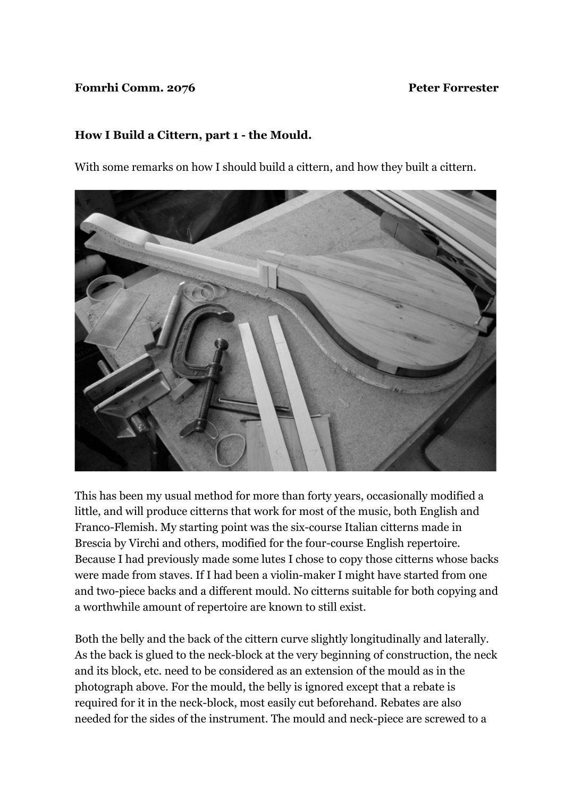## **Fomrhi Comm. 2076** Peter Forrester

## **How I Build a Cittern, part 1 - the Mould.**

With some remarks on how I should build a cittern, and how they built a cittern.



This has been my usual method for more than forty years, occasionally modified a little, and will produce citterns that work for most of the music, both English and Franco-Flemish. My starting point was the six-course Italian citterns made in Brescia by Virchi and others, modified for the four-course English repertoire. Because I had previously made some lutes I chose to copy those citterns whose backs were made from staves. If I had been a violin-maker I might have started from one and two-piece backs and a different mould. No citterns suitable for both copying and a worthwhile amount of repertoire are known to still exist.

Both the belly and the back of the cittern curve slightly longitudinally and laterally. As the back is glued to the neck-block at the very beginning of construction, the neck and its block, etc. need to be considered as an extension of the mould as in the photograph above. For the mould, the belly is ignored except that a rebate is required for it in the neck-block, most easily cut beforehand. Rebates are also needed for the sides of the instrument. The mould and neck-piece are screwed to a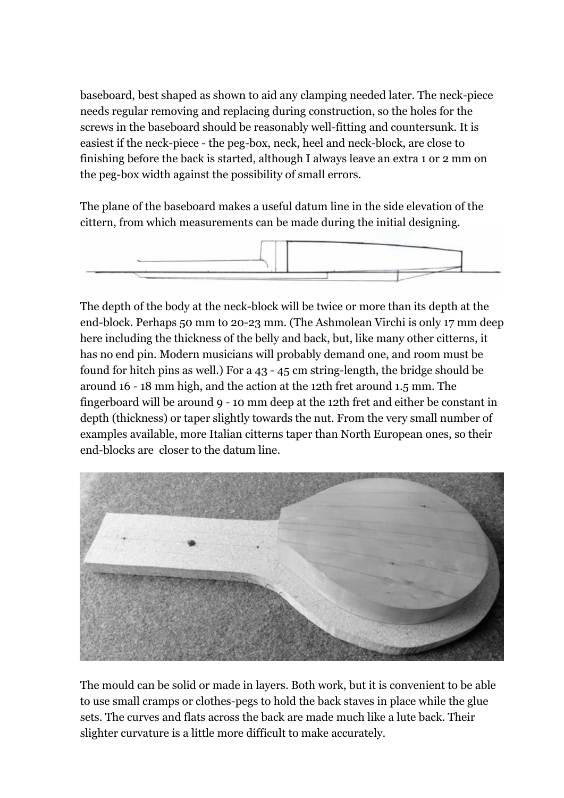baseboard, best shaped as shown to aid any clamping needed later. The neck-piece needs regular removing and replacing during construction, so the holes for the screws in the baseboard should be reasonably well-fitting and countersunk. It is easiest if the neck-piece - the peg-box, neck, heel and neck-block, are close to finishing before the back is started, although I always leave an extra 1 or 2 mm on the peg-box width against the possibility of small errors.

The plane of the baseboard makes a useful datum line in the side elevation of the cittern, from which measurements can be made during the initial designing.



The depth of the body at the neck-block will be twice or more than its depth at the end-block. Perhaps 50 mm to 20-23 mm. (The Ashmolean Virchi is only 17 mm deep here including the thickness of the belly and back, but, like many other citterns, it has no end pin. Modern musicians will probably demand one, and room must be found for hitch pins as well.) For a 43 - 45 cm string-length, the bridge should be around 16 - 18 mm high, and the action at the 12th fret around 1.5 mm. The fingerboard will be around 9 - 10 mm deep at the 12th fret and either be constant in depth (thickness) or taper slightly towards the nut. From the very small number of examples available, more Italian citterns taper than North European ones, so their end-blocks are closer to the datum line.



The mould can be solid or made in layers. Both work, but it is convenient to be able to use small cramps or clothes-pegs to hold the back staves in place while the glue sets. The curves and flats across the back are made much like a lute back. Their slighter curvature is a little more difficult to make accurately.